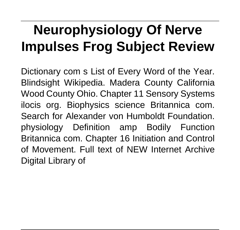# **Neurophysiology Of Nerve Impulses Frog Subject Review**

Dictionary com s List of Every Word of the Year. Blindsight Wikipedia. Madera County California Wood County Ohio. Chapter 11 Sensory Systems ilocis org. Biophysics science Britannica com. Search for Alexander von Humboldt Foundation. physiology Definition amp Bodily Function Britannica com. Chapter 16 Initiation and Control of Movement. Full text of NEW Internet Archive Digital Library of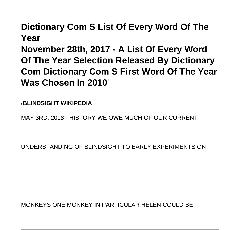#### **Dictionary Com S List Of Every Word Of The Year**

**November 28th, 2017 - A List Of Every Word Of The Year Selection Released By Dictionary Com Dictionary Com S First Word Of The Year Was Chosen In 2010**'

'**BLINDSIGHT WIKIPEDIA**

MAY 3RD, 2018 - HISTORY WE OWE MUCH OF OUR CURRENT

UNDERSTANDING OF BLINDSIGHT TO EARLY EXPERIMENTS ON

MONKEYS ONE MONKEY IN PARTICULAR HELEN COULD BE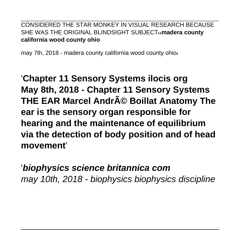#### CONSIDERED THE STAR MONKEY IN VISUAL RESEARCH BECAUSE SHE WAS THE ORIGINAL BLINDSIGHT SUBJECT<sup>1</sup>**madera county california wood county ohio**

may 7th, 2018 - madera county california wood county ohio'

# '**Chapter 11 Sensory Systems ilocis org May 8th, 2018 - Chapter 11 Sensory Systems THE EAR Marcel André Boillat Anatomy The ear is the sensory organ responsible for hearing and the maintenance of equilibrium via the detection of body position and of head movement**'

### '**biophysics science britannica com** may 10th, 2018 - biophysics biophysics discipline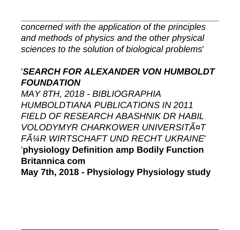concerned with the application of the principles and methods of physics and the other physical sciences to the solution of biological problems'

### '**SEARCH FOR ALEXANDER VON HUMBOLDT FOUNDATION**

MAY 8TH, 2018 - BIBLIOGRAPHIA HUMBOLDTIANA PUBLICATIONS IN 2011 FIELD OF RESEARCH ABASHNIK DR HABIL VOLODYMYR CHARKOWER UNIVERSITĤT FļR WIRTSCHAFT UND RECHT UKRAINE '**physiology Definition amp Bodily Function Britannica com May 7th, 2018 - Physiology Physiology study**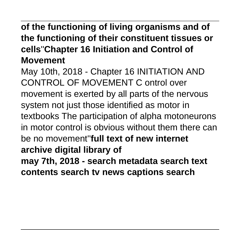## **of the functioning of living organisms and of the functioning of their constituent tissues or cells**''**Chapter 16 Initiation and Control of Movement**

May 10th, 2018 - Chapter 16 INITIATION AND CONTROL OF MOVEMENT C ontrol over movement is exerted by all parts of the nervous system not just those identified as motor in textbooks The participation of alpha motoneurons in motor control is obvious without them there can be no movement''**full text of new internet archive digital library of**

**may 7th, 2018 - search metadata search text contents search tv news captions search**